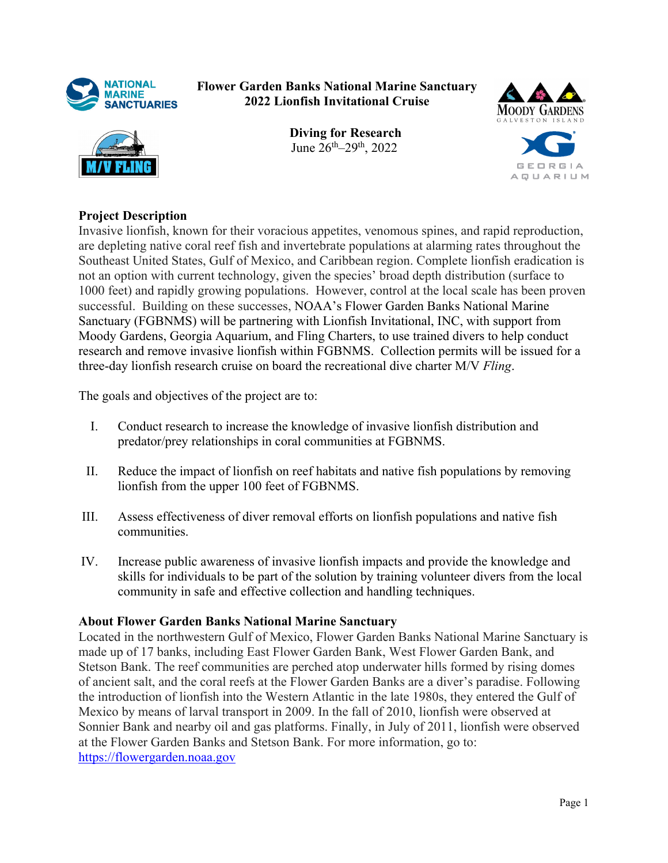

**Flower Garden Banks National Marine Sanctuary 2022 Lionfish Invitational Cruise** 



**Diving for Research** June 26th–29th, 2022



## **Project Description**

Invasive lionfish, known for their voracious appetites, venomous spines, and rapid reproduction, are depleting native coral reef fish and invertebrate populations at alarming rates throughout the Southeast United States, Gulf of Mexico, and Caribbean region. Complete lionfish eradication is not an option with current technology, given the species' broad depth distribution (surface to 1000 feet) and rapidly growing populations. However, control at the local scale has been proven successful. Building on these successes, NOAA's Flower Garden Banks National Marine Sanctuary (FGBNMS) will be partnering with Lionfish Invitational, INC, with support from Moody Gardens, Georgia Aquarium, and Fling Charters, to use trained divers to help conduct research and remove invasive lionfish within FGBNMS. Collection permits will be issued for a three-day lionfish research cruise on board the recreational dive charter M/V *Fling*.

The goals and objectives of the project are to:

- I. Conduct research to increase the knowledge of invasive lionfish distribution and predator/prey relationships in coral communities at FGBNMS.
- II. Reduce the impact of lionfish on reef habitats and native fish populations by removing lionfish from the upper 100 feet of FGBNMS.
- III. Assess effectiveness of diver removal efforts on lionfish populations and native fish communities.
- IV. Increase public awareness of invasive lionfish impacts and provide the knowledge and skills for individuals to be part of the solution by training volunteer divers from the local community in safe and effective collection and handling techniques.

## **About Flower Garden Banks National Marine Sanctuary**

Located in the northwestern Gulf of Mexico, Flower Garden Banks National Marine Sanctuary is made up of 17 banks, including East Flower Garden Bank, West Flower Garden Bank, and Stetson Bank. The reef communities are perched atop underwater hills formed by rising domes of ancient salt, and the coral reefs at the Flower Garden Banks are a diver's paradise. Following the introduction of lionfish into the Western Atlantic in the late 1980s, they entered the Gulf of Mexico by means of larval transport in 2009. In the fall of 2010, lionfish were observed at Sonnier Bank and nearby oil and gas platforms. Finally, in July of 2011, lionfish were observed at the Flower Garden Banks and Stetson Bank. For more information, go to: <https://flowergarden.noaa.gov>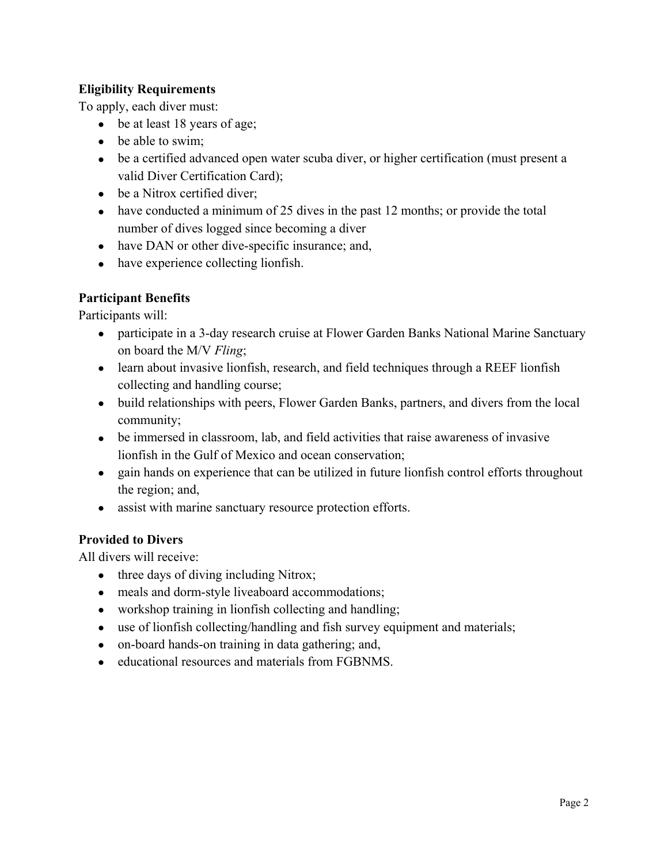## **Eligibility Requirements**

To apply, each diver must:

- be at least 18 years of age;
- be able to swim;
- be a certified advanced open water scuba diver, or higher certification (must present a valid Diver Certification Card);
- be a Nitrox certified diver:
- have conducted a minimum of 25 dives in the past 12 months; or provide the total number of dives logged since becoming a diver
- have DAN or other dive-specific insurance; and,
- have experience collecting lionfish.

## **Participant Benefits**

Participants will:

- participate in a 3-day research cruise at Flower Garden Banks National Marine Sanctuary on board the M/V *Fling*;
- learn about invasive lionfish, research, and field techniques through a REEF lionfish collecting and handling course;
- build relationships with peers, Flower Garden Banks, partners, and divers from the local community;
- be immersed in classroom, lab, and field activities that raise awareness of invasive lionfish in the Gulf of Mexico and ocean conservation;
- gain hands on experience that can be utilized in future lionfish control efforts throughout the region; and,
- assist with marine sanctuary resource protection efforts.

## **Provided to Divers**

All divers will receive:

- three days of diving including Nitrox;
- meals and dorm-style liveaboard accommodations;
- workshop training in lionfish collecting and handling;
- use of lionfish collecting/handling and fish survey equipment and materials;
- on-board hands-on training in data gathering; and,
- educational resources and materials from FGBNMS.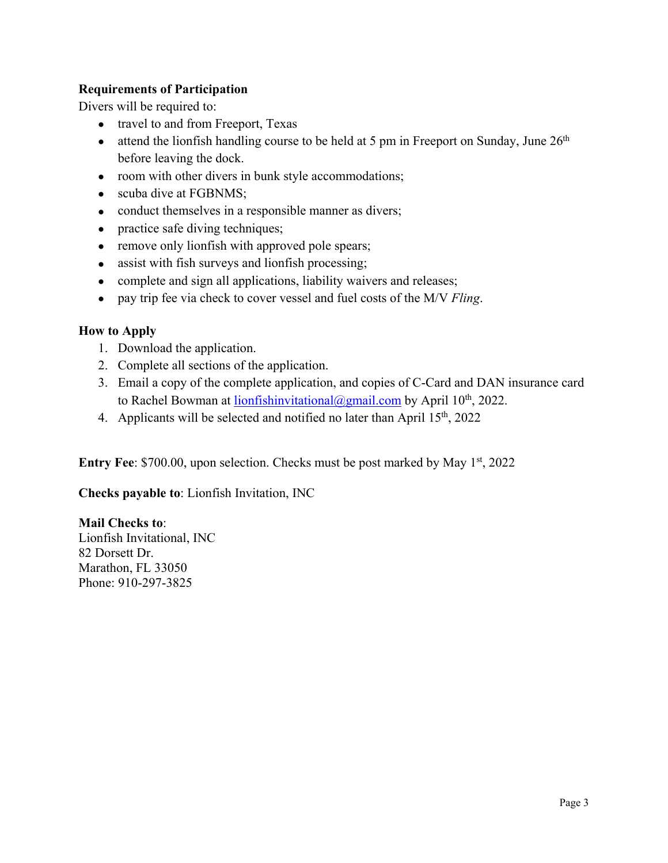### **Requirements of Participation**

Divers will be required to:

- travel to and from Freeport, Texas
- attend the lionfish handling course to be held at 5 pm in Freeport on Sunday, June  $26<sup>th</sup>$ before leaving the dock.
- room with other divers in bunk style accommodations;
- scuba dive at FGBNMS;
- conduct themselves in a responsible manner as divers;
- practice safe diving techniques;
- remove only lionfish with approved pole spears;
- assist with fish surveys and lionfish processing;
- complete and sign all applications, liability waivers and releases;
- pay trip fee via check to cover vessel and fuel costs of the M/V *Fling*.

## **How to Apply**

- 1. Download the application.
- 2. Complete all sections of the application.
- 3. Email a copy of the complete application, and copies of C-Card and DAN insurance card to Rachel Bowman at  $\frac{\text{lionfishinvitational}(\partial \text{gmail.com})}{\text{gmail.com}}$  by April 10<sup>th</sup>, 2022.
- 4. Applicants will be selected and notified no later than April  $15<sup>th</sup>$ , 2022

**Entry Fee**: \$700.00, upon selection. Checks must be post marked by May 1<sup>st</sup>, 2022

**Checks payable to**: Lionfish Invitation, INC

**Mail Checks to**: Lionfish Invitational, INC 82 Dorsett Dr. Marathon, FL 33050 Phone: 910-297-3825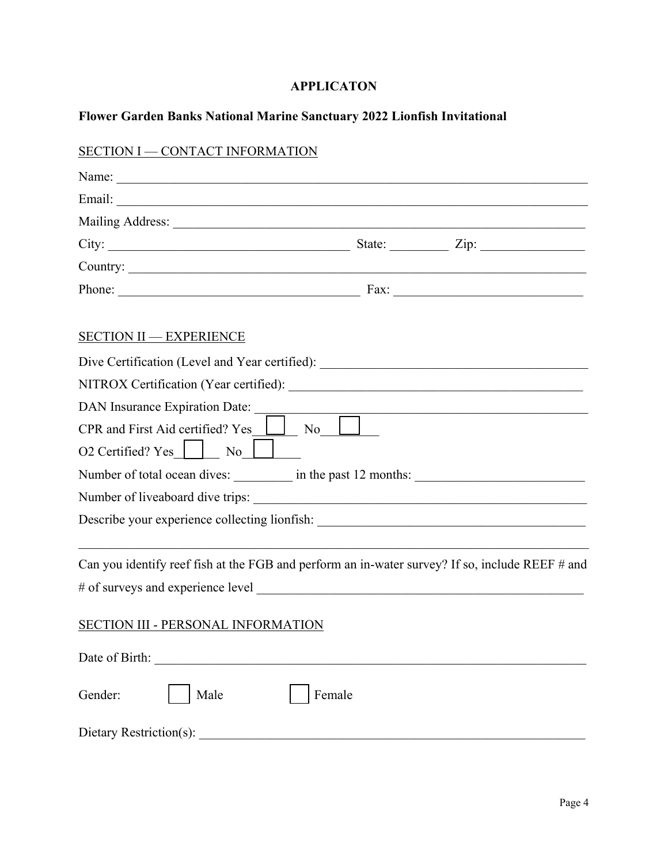# **APPLICATON**

## **Flower Garden Banks National Marine Sanctuary 2022 Lionfish Invitational**

| SECTION I - CONTACT INFORMATION                                                                 |        |  |
|-------------------------------------------------------------------------------------------------|--------|--|
|                                                                                                 |        |  |
|                                                                                                 |        |  |
|                                                                                                 |        |  |
| City: $\frac{1}{\sqrt{2}}$ State: $\frac{1}{\sqrt{2}}$ Zip:                                     |        |  |
| Country:                                                                                        |        |  |
| Phone: Fax: Fax:                                                                                |        |  |
| <b>SECTION II - EXPERIENCE</b>                                                                  |        |  |
|                                                                                                 |        |  |
|                                                                                                 |        |  |
| DAN Insurance Expiration Date:                                                                  |        |  |
| CPR and First Aid certified? Yes                                                                | No     |  |
| O2 Certified? Yes     No                                                                        |        |  |
| Number of total ocean dives: __________ in the past 12 months: __________________               |        |  |
|                                                                                                 |        |  |
| Describe your experience collecting lionfish:                                                   |        |  |
| Can you identify reef fish at the FGB and perform an in-water survey? If so, include REEF # and |        |  |
| # of surveys and experience level                                                               |        |  |
| <b>SECTION III - PERSONAL INFORMATION</b>                                                       |        |  |
|                                                                                                 |        |  |
| Male<br>Gender:                                                                                 | Female |  |
|                                                                                                 |        |  |

### Page 4